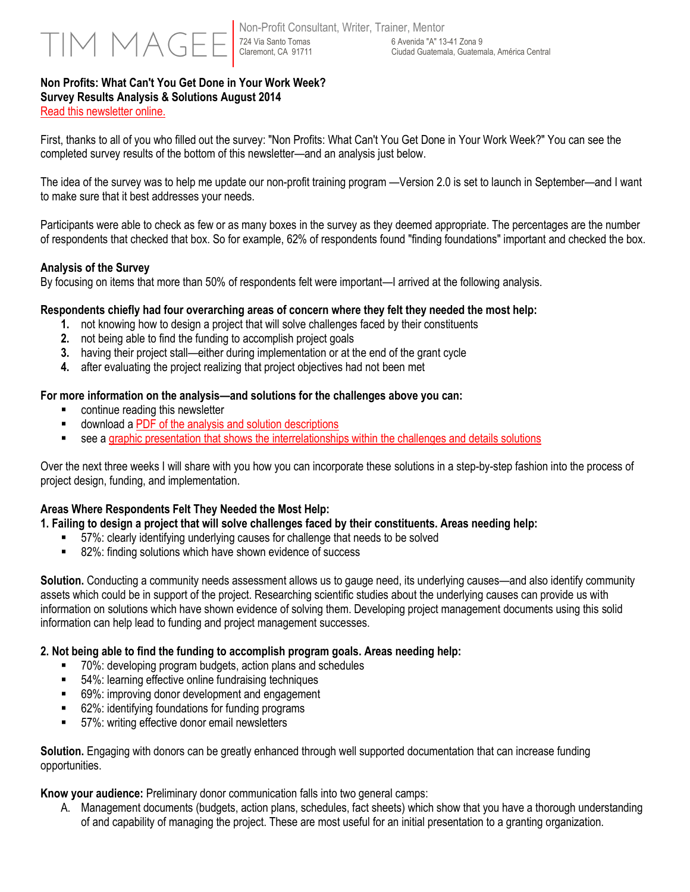## 724 Via Santo Tomas Claremont, CA 91711

#### **Non Profits: What Can't You Get Done in Your Work Week? Survey Results Analysis & Solutions August 2014**  [Read this newsletter online.](http://www.timmagee.net/blog/2014/8/19/non-profit-survey-results-getting-the-job-done-1.html)

First, thanks to all of you who filled out the survey: "Non Profits: What Can't You Get Done in Your Work Week?" You can see the

completed survey results of the bottom of this newsletter—and an analysis just below.

The idea of the survey was to help me update our non-profit training program —Version 2.0 is set to launch in September—and I want to make sure that it best addresses your needs.

Participants were able to check as few or as many boxes in the survey as they deemed appropriate. The percentages are the number of respondents that checked that box. So for example, 62% of respondents found "finding foundations" important and checked the box.

### **Analysis of the Survey**

By focusing on items that more than 50% of respondents felt were important—I arrived at the following analysis.

#### **Respondents chiefly had four overarching areas of concern where they felt they needed the most help:**

- **1.** not knowing how to design a project that will solve challenges faced by their constituents
- **2.** not being able to find the funding to accomplish project goals
- **3.** having their project stall—either during implementation or at the end of the grant cycle
- **4.** after evaluating the project realizing that project objectives had not been met

#### **For more information on the analysis—and solutions for the challenges above you can:**

- continue reading this newsletter
- download [a PDF of the analysis and solution descriptions](http://www.timmagee.net/storage/professional-workshops/Survey%20Results%20Analysis%20%20Solutions%20August%202014.pdf)
- see a graphic presentation that shows [the interrelationships within the challenges and details solutions](http://www.timmagee.net/storage/professional-workshops/Survey%20Results%20Solutions%20Graphic%20August%202014%20PPT.pdf)

Over the next three weeks I will share with you how you can incorporate these solutions in a step-by-step fashion into the process of project design, funding, and implementation.

#### **Areas Where Respondents Felt They Needed the Most Help:**

**1. Failing to design a project that will solve challenges faced by their constituents. Areas needing help:**

- 57%: clearly identifying underlying causes for challenge that needs to be solved
- 82%: finding solutions which have shown evidence of success

**Solution.** Conducting a community needs assessment allows us to gauge need, its underlying causes—and also identify community assets which could be in support of the project. Researching scientific studies about the underlying causes can provide us with information on solutions which have shown evidence of solving them. Developing project management documents using this solid information can help lead to funding and project management successes.

#### **2. Not being able to find the funding to accomplish program goals. Areas needing help:**

- 70%: developing program budgets, action plans and schedules
- 54%: learning effective online fundraising techniques
- 69%: improving donor development and engagement
- 62%: identifying foundations for funding programs
- 57%: writing effective donor email newsletters

**Solution.** Engaging with donors can be greatly enhanced through well supported documentation that can increase funding opportunities.

**Know your audience:** Preliminary donor communication falls into two general camps:

A. Management documents (budgets, action plans, schedules, fact sheets) which show that you have a thorough understanding of and capability of managing the project. These are most useful for an initial presentation to a granting organization.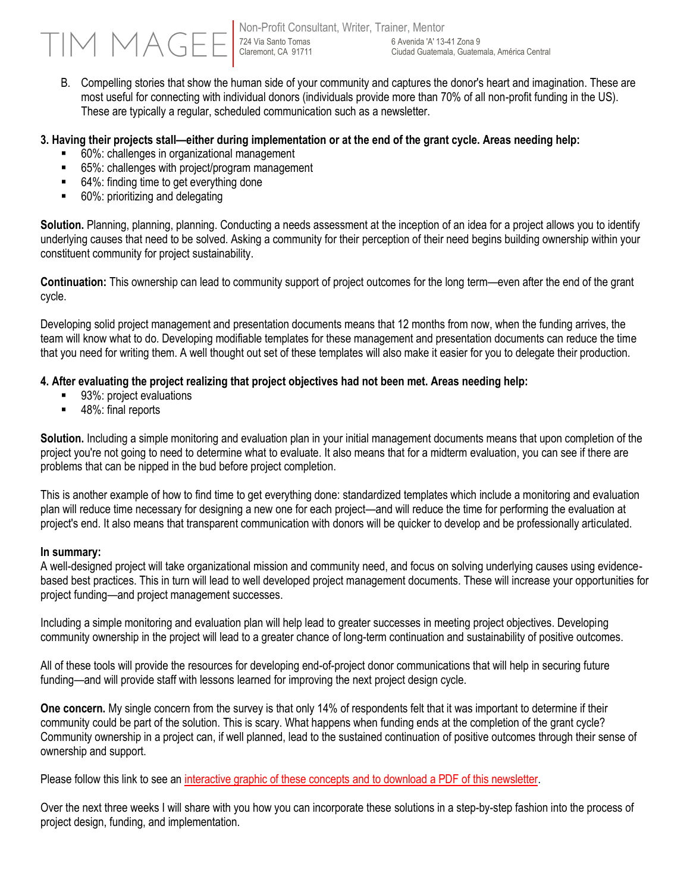Non-Profit Consultant, Writer, Trainer, Mentor 724 Via Santo Tomas Claremont, CA 91711 6 Avenida 'A' 13-41 Zona 9 Ciudad Guatemala, Guatemala, América Central

B. Compelling stories that show the human side of your community and captures the donor's heart and imagination. These are most useful for connecting with individual donors (individuals provide more than 70% of all non-profit funding in the US). These are typically a regular, scheduled communication such as a newsletter.

#### **3. Having their projects stall—either during implementation or at the end of the grant cycle. Areas needing help:**

- 60%: challenges in organizational management
- 65%: challenges with project/program management
- 64%: finding time to get everything done
- 60%: prioritizing and delegating

**Solution.** Planning, planning, planning. Conducting a needs assessment at the inception of an idea for a project allows you to identify underlying causes that need to be solved. Asking a community for their perception of their need begins building ownership within your constituent community for project sustainability.

**Continuation:** This ownership can lead to community support of project outcomes for the long term—even after the end of the grant cycle.

Developing solid project management and presentation documents means that 12 months from now, when the funding arrives, the team will know what to do. Developing modifiable templates for these management and presentation documents can reduce the time that you need for writing them. A well thought out set of these templates will also make it easier for you to delegate their production.

#### **4. After evaluating the project realizing that project objectives had not been met. Areas needing help:**

- 93%: project evaluations
- 48%: final reports

**Solution.** Including a simple monitoring and evaluation plan in your initial management documents means that upon completion of the project you're not going to need to determine what to evaluate. It also means that for a midterm evaluation, you can see if there are problems that can be nipped in the bud before project completion.

This is another example of how to find time to get everything done: standardized templates which include a monitoring and evaluation plan will reduce time necessary for designing a new one for each project—and will reduce the time for performing the evaluation at project's end. It also means that transparent communication with donors will be quicker to develop and be professionally articulated.

#### **In summary:**

A well-designed project will take organizational mission and community need, and focus on solving underlying causes using evidencebased best practices. This in turn will lead to well developed project management documents. These will increase your opportunities for project funding—and project management successes.

Including a simple monitoring and evaluation plan will help lead to greater successes in meeting project objectives. Developing community ownership in the project will lead to a greater chance of long-term continuation and sustainability of positive outcomes.

All of these tools will provide the resources for developing end-of-project donor communications that will help in securing future funding—and will provide staff with lessons learned for improving the next project design cycle.

**One concern.** My single concern from the survey is that only 14% of respondents felt that it was important to determine if their community could be part of the solution. This is scary. What happens when funding ends at the completion of the grant cycle? Community ownership in a project can, if well planned, lead to the sustained continuation of positive outcomes through their sense of ownership and support.

Please follow this link to see an interactive graphic of these concepts [and to download a PDF of this newsletter.](http://www.timmagee.net/blog/2014/8/19/non-profit-survey-results-getting-the-job-done-1.html)

Over the next three weeks I will share with you how you can incorporate these solutions in a step-by-step fashion into the process of project design, funding, and implementation.